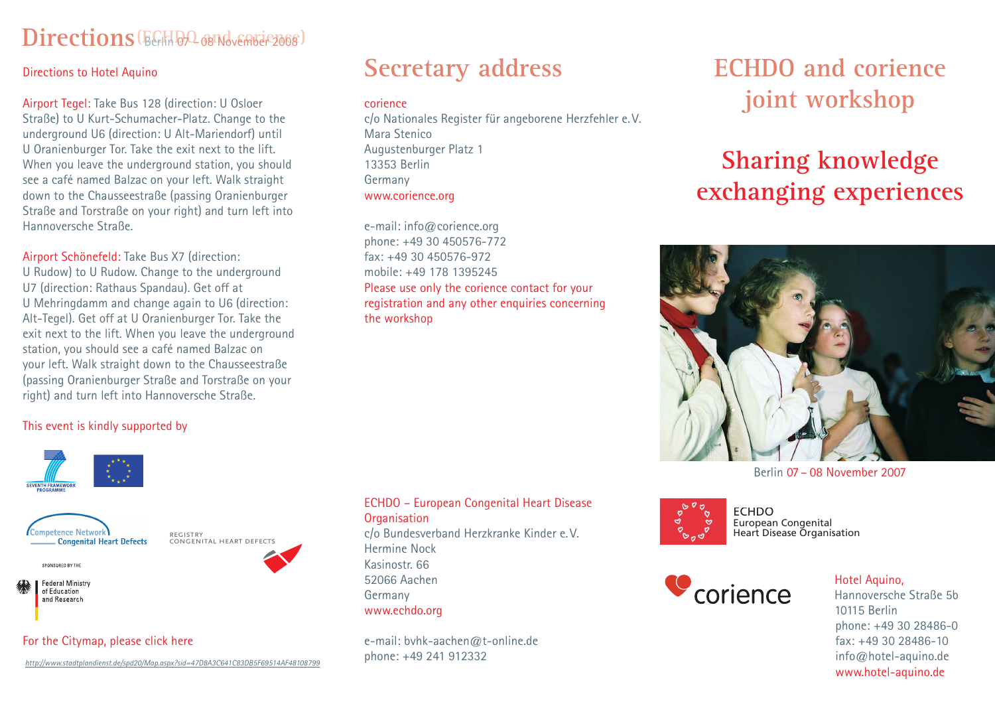## $\text{Directions}(\text{EffB2} \text{ and } \text{SFR} \text{ and } \text{SFR} \text{ and } \text{SFR} \text{ and } \text{SFR} \text{ and } \text{SFR} \text{ and } \text{SFR} \text{ and } \text{SFR} \text{ and } \text{SFR} \text{ and } \text{SFR} \text{ and } \text{SFR} \text{ and } \text{SFR} \text{ and } \text{SFR} \text{ and } \text{SFR} \text{ and } \text{SFR} \text{ and } \text{SFR} \text{ and } \text{SFR} \text{ and } \text{SFR} \text{ and } \text{SFR} \text{ and } \text{SFR}$

### Directions to Hotel Aquino

Airport Tegel: Take Bus 128 (direction: U Osloer Straße) to U Kurt-Schumacher-Platz. Change to the underground U6 (direction: U Alt-Mariendorf) until U Oranienburger Tor. Take the exit next to the lift. When you leave the underground station, you should see a café named Balzac on your left. Walk straight down to the Chausseestraße (passing Oranienburger Straße and Torstraße on your right) and turn left into Hannoversche Straße.

### Airport Schönefeld: Take Bus X7 (direction:

U Rudow) to U Rudow. Change to the underground U7 (direction: Rathaus Spandau). Get off at U Mehringdamm and change again to U6 (direction: Alt-Tegel). Get off at U Oranienburger Tor. Take the exit next to the lift. When you leave the underground station, you should see a café named Balzac on your left. Walk straight down to the Chausseestraße (passing Oranienburger Straße and Torstraße on your right) and turn left into Hannoversche Straße.

## **Secretary address**

### corience

c/o Nationales Register für angeborene Herzfehler e. V. Mara Stenico Augustenburger Platz 1 13353 Berlin Germany www.corience.org

e-mail: info@corience.org phone: +49 30 450576-772 fax: +49 30 450576-972 mobile: +49 178 1395245 Please use only the corience contact for your registration and any other enquiries concerning the workshop

**ECHDO and corience joint workshop**

# **Sharing knowledge exchanging experiences**



Berlin 07 – 08 November 2007



**FCHDO** European Congenital Heart Disease Organisation



### Hotel Aquino,

phone: +49 30 28486-0 fax: +49 30 28486-10 info@hotel-aquino.de www.hotel-aquino.de Hannoversche Straße 5b 10115 Berlin

### This event is kindly supported by





registry congenital heart defects

**SPONSORED BY THE** 

**Federal Ministry** of Education and Research

For the Citymap, please click here

### ECHDO – European Congenital Heart Disease **Organisation** c/o Bundesverband Herzkranke Kinder e. V.

Hermine Nock Kasinostr. 66 52066 Aachen Germany www.echdo.org

e-mail: bvhk-aachen@t-online.de phone: +49 241 912332